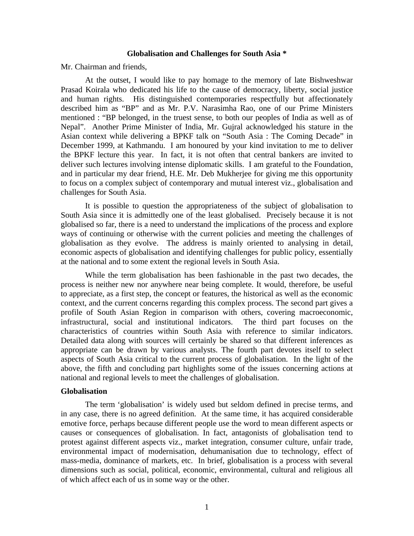#### **Globalisation and Challenges for South Asia \***

Mr. Chairman and friends,

At the outset, I would like to pay homage to the memory of late Bishweshwar Prasad Koirala who dedicated his life to the cause of democracy, liberty, social justice and human rights. His distinguished contemporaries respectfully but affectionately described him as "BP" and as Mr. P.V. Narasimha Rao, one of our Prime Ministers mentioned : "BP belonged, in the truest sense, to both our peoples of India as well as of Nepal". Another Prime Minister of India, Mr. Gujral acknowledged his stature in the Asian context while delivering a BPKF talk on "South Asia : The Coming Decade" in December 1999, at Kathmandu. I am honoured by your kind invitation to me to deliver the BPKF lecture this year. In fact, it is not often that central bankers are invited to deliver such lectures involving intense diplomatic skills. I am grateful to the Foundation, and in particular my dear friend, H.E. Mr. Deb Mukherjee for giving me this opportunity to focus on a complex subject of contemporary and mutual interest viz., globalisation and challenges for South Asia.

It is possible to question the appropriateness of the subject of globalisation to South Asia since it is admittedly one of the least globalised. Precisely because it is not globalised so far, there is a need to understand the implications of the process and explore ways of continuing or otherwise with the current policies and meeting the challenges of globalisation as they evolve. The address is mainly oriented to analysing in detail, economic aspects of globalisation and identifying challenges for public policy, essentially at the national and to some extent the regional levels in South Asia.

While the term globalisation has been fashionable in the past two decades, the process is neither new nor anywhere near being complete. It would, therefore, be useful to appreciate, as a first step, the concept or features, the historical as well as the economic context, and the current concerns regarding this complex process. The second part gives a profile of South Asian Region in comparison with others, covering macroeconomic, infrastructural, social and institutional indicators. The third part focuses on the characteristics of countries within South Asia with reference to similar indicators. Detailed data along with sources will certainly be shared so that different inferences as appropriate can be drawn by various analysts. The fourth part devotes itself to select aspects of South Asia critical to the current process of globalisation. In the light of the above, the fifth and concluding part highlights some of the issues concerning actions at national and regional levels to meet the challenges of globalisation.

### **Globalisation**

The term 'globalisation' is widely used but seldom defined in precise terms, and in any case, there is no agreed definition. At the same time, it has acquired considerable emotive force, perhaps because different people use the word to mean different aspects or causes or consequences of globalisation. In fact, antagonists of globalisation tend to protest against different aspects viz., market integration, consumer culture, unfair trade, environmental impact of modernisation, dehumanisation due to technology, effect of mass-media, dominance of markets, etc. In brief, globalisation is a process with several dimensions such as social, political, economic, environmental, cultural and religious all of which affect each of us in some way or the other.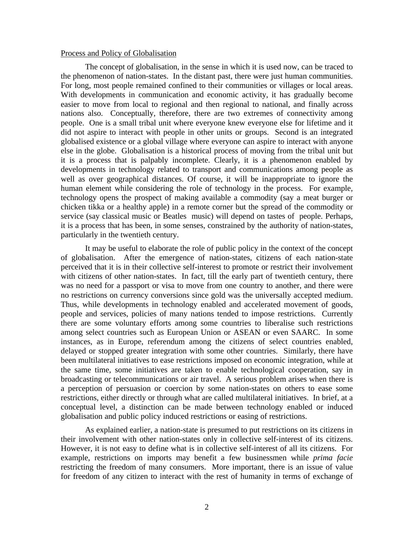#### Process and Policy of Globalisation

The concept of globalisation, in the sense in which it is used now, can be traced to the phenomenon of nation-states. In the distant past, there were just human communities. For long, most people remained confined to their communities or villages or local areas. With developments in communication and economic activity, it has gradually become easier to move from local to regional and then regional to national, and finally across nations also. Conceptually, therefore, there are two extremes of connectivity among people. One is a small tribal unit where everyone knew everyone else for lifetime and it did not aspire to interact with people in other units or groups. Second is an integrated globalised existence or a global village where everyone can aspire to interact with anyone else in the globe. Globalisation is a historical process of moving from the tribal unit but it is a process that is palpably incomplete. Clearly, it is a phenomenon enabled by developments in technology related to transport and communications among people as well as over geographical distances. Of course, it will be inappropriate to ignore the human element while considering the role of technology in the process. For example, technology opens the prospect of making available a commodity (say a meat burger or chicken tikka or a healthy apple) in a remote corner but the spread of the commodity or service (say classical music or Beatles music) will depend on tastes of people. Perhaps, it is a process that has been, in some senses, constrained by the authority of nation-states, particularly in the twentieth century.

It may be useful to elaborate the role of public policy in the context of the concept of globalisation. After the emergence of nation-states, citizens of each nation-state perceived that it is in their collective self-interest to promote or restrict their involvement with citizens of other nation-states. In fact, till the early part of twentieth century, there was no need for a passport or visa to move from one country to another, and there were no restrictions on currency conversions since gold was the universally accepted medium. Thus, while developments in technology enabled and accelerated movement of goods, people and services, policies of many nations tended to impose restrictions. Currently there are some voluntary efforts among some countries to liberalise such restrictions among select countries such as European Union or ASEAN or even SAARC. In some instances, as in Europe, referendum among the citizens of select countries enabled, delayed or stopped greater integration with some other countries. Similarly, there have been multilateral initiatives to ease restrictions imposed on economic integration, while at the same time, some initiatives are taken to enable technological cooperation, say in broadcasting or telecommunications or air travel. A serious problem arises when there is a perception of persuasion or coercion by some nation-states on others to ease some restrictions, either directly or through what are called multilateral initiatives. In brief, at a conceptual level, a distinction can be made between technology enabled or induced globalisation and public policy induced restrictions or easing of restrictions.

As explained earlier, a nation-state is presumed to put restrictions on its citizens in their involvement with other nation-states only in collective self-interest of its citizens. However, it is not easy to define what is in collective self-interest of all its citizens. For example, restrictions on imports may benefit a few businessmen while *prima facie* restricting the freedom of many consumers. More important, there is an issue of value for freedom of any citizen to interact with the rest of humanity in terms of exchange of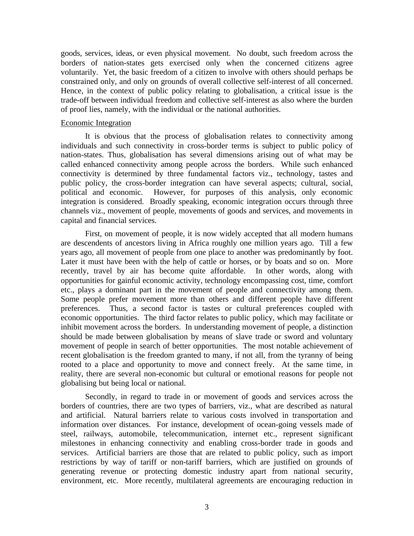goods, services, ideas, or even physical movement. No doubt, such freedom across the borders of nation-states gets exercised only when the concerned citizens agree voluntarily. Yet, the basic freedom of a citizen to involve with others should perhaps be constrained only, and only on grounds of overall collective self-interest of all concerned. Hence, in the context of public policy relating to globalisation, a critical issue is the trade-off between individual freedom and collective self-interest as also where the burden of proof lies, namely, with the individual or the national authorities.

### Economic Integration

It is obvious that the process of globalisation relates to connectivity among individuals and such connectivity in cross-border terms is subject to public policy of nation-states. Thus, globalisation has several dimensions arising out of what may be called enhanced connectivity among people across the borders. While such enhanced connectivity is determined by three fundamental factors viz., technology, tastes and public policy, the cross-border integration can have several aspects; cultural, social, political and economic. However, for purposes of this analysis, only economic integration is considered. Broadly speaking, economic integration occurs through three channels viz., movement of people, movements of goods and services, and movements in capital and financial services.

First, on movement of people, it is now widely accepted that all modern humans are descendents of ancestors living in Africa roughly one million years ago. Till a few years ago, all movement of people from one place to another was predominantly by foot. Later it must have been with the help of cattle or horses, or by boats and so on. More recently, travel by air has become quite affordable. In other words, along with opportunities for gainful economic activity, technology encompassing cost, time, comfort etc., plays a dominant part in the movement of people and connectivity among them. Some people prefer movement more than others and different people have different preferences. Thus, a second factor is tastes or cultural preferences coupled with economic opportunities. The third factor relates to public policy, which may facilitate or inhibit movement across the borders. In understanding movement of people, a distinction should be made between globalisation by means of slave trade or sword and voluntary movement of people in search of better opportunities. The most notable achievement of recent globalisation is the freedom granted to many, if not all, from the tyranny of being rooted to a place and opportunity to move and connect freely. At the same time, in reality, there are several non-economic but cultural or emotional reasons for people not globalising but being local or national.

Secondly, in regard to trade in or movement of goods and services across the borders of countries, there are two types of barriers, viz., what are described as natural and artificial. Natural barriers relate to various costs involved in transportation and information over distances. For instance, development of ocean-going vessels made of steel, railways, automobile, telecommunication, internet etc., represent significant milestones in enhancing connectivity and enabling cross-border trade in goods and services. Artificial barriers are those that are related to public policy, such as import restrictions by way of tariff or non-tariff barriers, which are justified on grounds of generating revenue or protecting domestic industry apart from national security, environment, etc. More recently, multilateral agreements are encouraging reduction in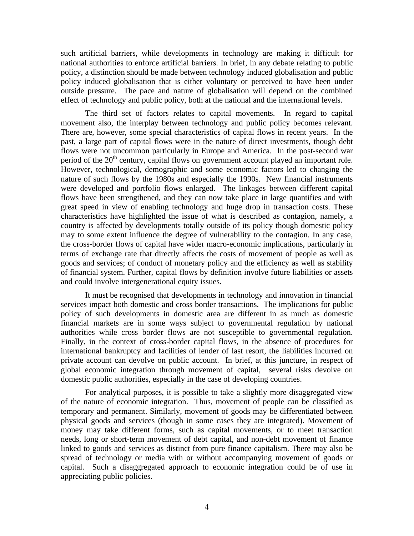such artificial barriers, while developments in technology are making it difficult for national authorities to enforce artificial barriers. In brief, in any debate relating to public policy, a distinction should be made between technology induced globalisation and public policy induced globalisation that is either voluntary or perceived to have been under outside pressure. The pace and nature of globalisation will depend on the combined effect of technology and public policy, both at the national and the international levels.

The third set of factors relates to capital movements. In regard to capital movement also, the interplay between technology and public policy becomes relevant. There are, however, some special characteristics of capital flows in recent years. In the past, a large part of capital flows were in the nature of direct investments, though debt flows were not uncommon particularly in Europe and America. In the post-second war period of the  $20<sup>th</sup>$  century, capital flows on government account played an important role. However, technological, demographic and some economic factors led to changing the nature of such flows by the 1980s and especially the 1990s. New financial instruments were developed and portfolio flows enlarged. The linkages between different capital flows have been strengthened, and they can now take place in large quantifies and with great speed in view of enabling technology and huge drop in transaction costs. These characteristics have highlighted the issue of what is described as contagion, namely, a country is affected by developments totally outside of its policy though domestic policy may to some extent influence the degree of vulnerability to the contagion. In any case, the cross-border flows of capital have wider macro-economic implications, particularly in terms of exchange rate that directly affects the costs of movement of people as well as goods and services; of conduct of monetary policy and the efficiency as well as stability of financial system. Further, capital flows by definition involve future liabilities or assets and could involve intergenerational equity issues.

It must be recognised that developments in technology and innovation in financial services impact both domestic and cross border transactions. The implications for public policy of such developments in domestic area are different in as much as domestic financial markets are in some ways subject to governmental regulation by national authorities while cross border flows are not susceptible to governmental regulation. Finally, in the context of cross-border capital flows, in the absence of procedures for international bankruptcy and facilities of lender of last resort, the liabilities incurred on private account can devolve on public account. In brief, at this juncture, in respect of global economic integration through movement of capital, several risks devolve on domestic public authorities, especially in the case of developing countries.

For analytical purposes, it is possible to take a slightly more disaggregated view of the nature of economic integration. Thus, movement of people can be classified as temporary and permanent. Similarly, movement of goods may be differentiated between physical goods and services (though in some cases they are integrated). Movement of money may take different forms, such as capital movements, or to meet transaction needs, long or short-term movement of debt capital, and non-debt movement of finance linked to goods and services as distinct from pure finance capitalism. There may also be spread of technology or media with or without accompanying movement of goods or capital. Such a disaggregated approach to economic integration could be of use in appreciating public policies.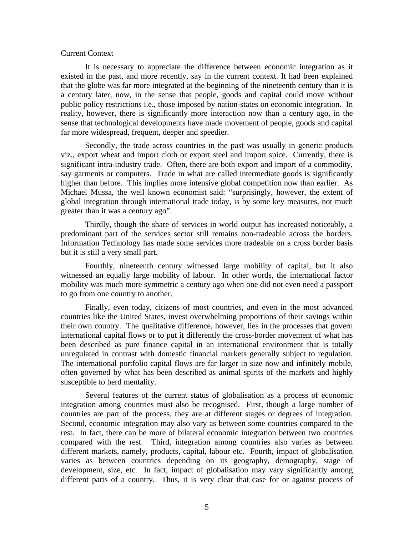### Current Context

It is necessary to appreciate the difference between economic integration as it existed in the past, and more recently, say in the current context. It had been explained that the globe was far more integrated at the beginning of the nineteenth century than it is a century later, now, in the sense that people, goods and capital could move without public policy restrictions i.e., those imposed by nation-states on economic integration. In reality, however, there is significantly more interaction now than a century ago, in the sense that technological developments have made movement of people, goods and capital far more widespread, frequent, deeper and speedier.

Secondly, the trade across countries in the past was usually in generic products viz., export wheat and import cloth or export steel and import spice. Currently, there is significant intra-industry trade. Often, there are both export and import of a commodity, say garments or computers. Trade in what are called intermediate goods is significantly higher than before. This implies more intensive global competition now than earlier. As Michael Mussa, the well known economist said: "surprisingly, however, the extent of global integration through international trade today, is by some key measures, not much greater than it was a century ago".

Thirdly, though the share of services in world output has increased noticeably, a predominant part of the services sector still remains non-tradeable across the borders. Information Technology has made some services more tradeable on a cross border basis but it is still a very small part.

Fourthly, nineteenth century witnessed large mobility of capital, but it also witnessed an equally large mobility of labour. In other words, the international factor mobility was much more symmetric a century ago when one did not even need a passport to go from one country to another.

Finally, even today, citizens of most countries, and even in the most advanced countries like the United States, invest overwhelming proportions of their savings within their own country. The qualitative difference, however, lies in the processes that govern international capital flows or to put it differently the cross-border movement of what has been described as pure finance capital in an international environment that is totally unregulated in contrast with domestic financial markets generally subject to regulation. The international portfolio capital flows are far larger in size now and infinitely mobile, often governed by what has been described as animal spirits of the markets and highly susceptible to herd mentality.

Several features of the current status of globalisation as a process of economic integration among countries must also be recognised. First, though a large number of countries are part of the process, they are at different stages or degrees of integration. Second, economic integration may also vary as between some countries compared to the rest. In fact, there can be more of bilateral economic integration between two countries compared with the rest. Third, integration among countries also varies as between different markets, namely, products, capital, labour etc. Fourth, impact of globalisation varies as between countries depending on its geography, demography, stage of development, size, etc. In fact, impact of globalisation may vary significantly among different parts of a country. Thus, it is very clear that case for or against process of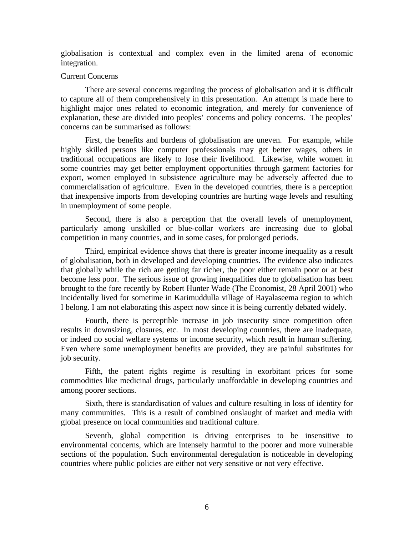globalisation is contextual and complex even in the limited arena of economic integration.

## Current Concerns

There are several concerns regarding the process of globalisation and it is difficult to capture all of them comprehensively in this presentation. An attempt is made here to highlight major ones related to economic integration, and merely for convenience of explanation, these are divided into peoples' concerns and policy concerns. The peoples' concerns can be summarised as follows:

First, the benefits and burdens of globalisation are uneven. For example, while highly skilled persons like computer professionals may get better wages, others in traditional occupations are likely to lose their livelihood. Likewise, while women in some countries may get better employment opportunities through garment factories for export, women employed in subsistence agriculture may be adversely affected due to commercialisation of agriculture. Even in the developed countries, there is a perception that inexpensive imports from developing countries are hurting wage levels and resulting in unemployment of some people.

Second, there is also a perception that the overall levels of unemployment, particularly among unskilled or blue-collar workers are increasing due to global competition in many countries, and in some cases, for prolonged periods.

Third, empirical evidence shows that there is greater income inequality as a result of globalisation, both in developed and developing countries. The evidence also indicates that globally while the rich are getting far richer, the poor either remain poor or at best become less poor. The serious issue of growing inequalities due to globalisation has been brought to the fore recently by Robert Hunter Wade (The Economist, 28 April 2001) who incidentally lived for sometime in Karimuddulla village of Rayalaseema region to which I belong. I am not elaborating this aspect now since it is being currently debated widely.

Fourth, there is perceptible increase in job insecurity since competition often results in downsizing, closures, etc. In most developing countries, there are inadequate, or indeed no social welfare systems or income security, which result in human suffering. Even where some unemployment benefits are provided, they are painful substitutes for job security.

Fifth, the patent rights regime is resulting in exorbitant prices for some commodities like medicinal drugs, particularly unaffordable in developing countries and among poorer sections.

Sixth, there is standardisation of values and culture resulting in loss of identity for many communities. This is a result of combined onslaught of market and media with global presence on local communities and traditional culture.

Seventh, global competition is driving enterprises to be insensitive to environmental concerns, which are intensely harmful to the poorer and more vulnerable sections of the population. Such environmental deregulation is noticeable in developing countries where public policies are either not very sensitive or not very effective.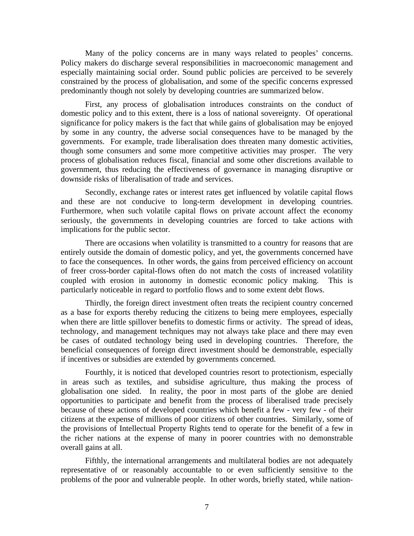Many of the policy concerns are in many ways related to peoples' concerns. Policy makers do discharge several responsibilities in macroeconomic management and especially maintaining social order. Sound public policies are perceived to be severely constrained by the process of globalisation, and some of the specific concerns expressed predominantly though not solely by developing countries are summarized below.

First, any process of globalisation introduces constraints on the conduct of domestic policy and to this extent, there is a loss of national sovereignty. Of operational significance for policy makers is the fact that while gains of globalisation may be enjoyed by some in any country, the adverse social consequences have to be managed by the governments. For example, trade liberalisation does threaten many domestic activities, though some consumers and some more competitive activities may prosper. The very process of globalisation reduces fiscal, financial and some other discretions available to government, thus reducing the effectiveness of governance in managing disruptive or downside risks of liberalisation of trade and services.

Secondly, exchange rates or interest rates get influenced by volatile capital flows and these are not conducive to long-term development in developing countries. Furthermore, when such volatile capital flows on private account affect the economy seriously, the governments in developing countries are forced to take actions with implications for the public sector.

There are occasions when volatility is transmitted to a country for reasons that are entirely outside the domain of domestic policy, and yet, the governments concerned have to face the consequences. In other words, the gains from perceived efficiency on account of freer cross-border capital-flows often do not match the costs of increased volatility coupled with erosion in autonomy in domestic economic policy making. This is particularly noticeable in regard to portfolio flows and to some extent debt flows.

Thirdly, the foreign direct investment often treats the recipient country concerned as a base for exports thereby reducing the citizens to being mere employees, especially when there are little spillover benefits to domestic firms or activity. The spread of ideas, technology, and management techniques may not always take place and there may even be cases of outdated technology being used in developing countries. Therefore, the beneficial consequences of foreign direct investment should be demonstrable, especially if incentives or subsidies are extended by governments concerned.

Fourthly, it is noticed that developed countries resort to protectionism, especially in areas such as textiles, and subsidise agriculture, thus making the process of globalisation one sided. In reality, the poor in most parts of the globe are denied opportunities to participate and benefit from the process of liberalised trade precisely because of these actions of developed countries which benefit a few - very few - of their citizens at the expense of millions of poor citizens of other countries. Similarly, some of the provisions of Intellectual Property Rights tend to operate for the benefit of a few in the richer nations at the expense of many in poorer countries with no demonstrable overall gains at all.

Fifthly, the international arrangements and multilateral bodies are not adequately representative of or reasonably accountable to or even sufficiently sensitive to the problems of the poor and vulnerable people. In other words, briefly stated, while nation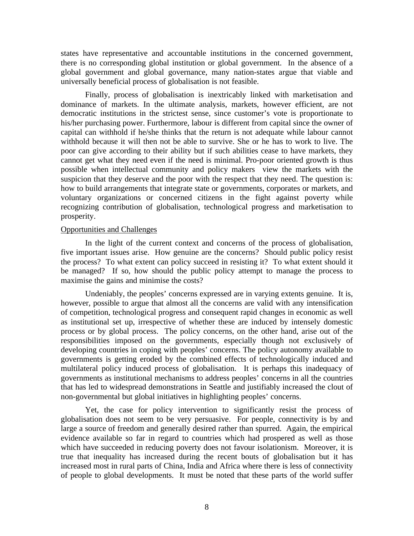states have representative and accountable institutions in the concerned government, there is no corresponding global institution or global government. In the absence of a global government and global governance, many nation-states argue that viable and universally beneficial process of globalisation is not feasible.

Finally, process of globalisation is inextricably linked with marketisation and dominance of markets. In the ultimate analysis, markets, however efficient, are not democratic institutions in the strictest sense, since customer's vote is proportionate to his/her purchasing power. Furthermore, labour is different from capital since the owner of capital can withhold if he/she thinks that the return is not adequate while labour cannot withhold because it will then not be able to survive. She or he has to work to live. The poor can give according to their ability but if such abilities cease to have markets, they cannot get what they need even if the need is minimal. Pro-poor oriented growth is thus possible when intellectual community and policy makers view the markets with the suspicion that they deserve and the poor with the respect that they need. The question is: how to build arrangements that integrate state or governments, corporates or markets, and voluntary organizations or concerned citizens in the fight against poverty while recognizing contribution of globalisation, technological progress and marketisation to prosperity.

#### Opportunities and Challenges

In the light of the current context and concerns of the process of globalisation, five important issues arise. How genuine are the concerns? Should public policy resist the process? To what extent can policy succeed in resisting it? To what extent should it be managed? If so, how should the public policy attempt to manage the process to maximise the gains and minimise the costs?

Undeniably, the peoples' concerns expressed are in varying extents genuine. It is, however, possible to argue that almost all the concerns are valid with any intensification of competition, technological progress and consequent rapid changes in economic as well as institutional set up, irrespective of whether these are induced by intensely domestic process or by global process. The policy concerns, on the other hand, arise out of the responsibilities imposed on the governments, especially though not exclusively of developing countries in coping with peoples' concerns. The policy autonomy available to governments is getting eroded by the combined effects of technologically induced and multilateral policy induced process of globalisation. It is perhaps this inadequacy of governments as institutional mechanisms to address peoples' concerns in all the countries that has led to widespread demonstrations in Seattle and justifiably increased the clout of non-governmental but global initiatives in highlighting peoples' concerns.

Yet, the case for policy intervention to significantly resist the process of globalisation does not seem to be very persuasive. For people, connectivity is by and large a source of freedom and generally desired rather than spurred. Again, the empirical evidence available so far in regard to countries which had prospered as well as those which have succeeded in reducing poverty does not favour isolationism. Moreover, it is true that inequality has increased during the recent bouts of globalisation but it has increased most in rural parts of China, India and Africa where there is less of connectivity of people to global developments. It must be noted that these parts of the world suffer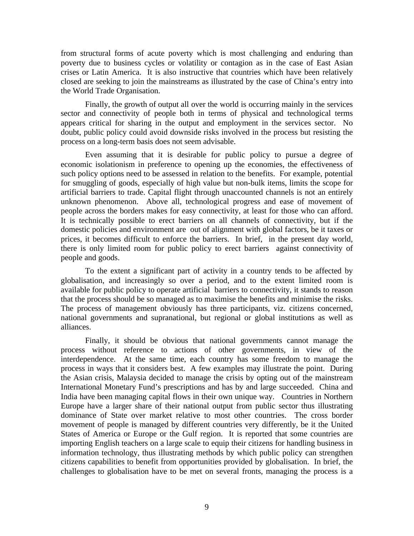from structural forms of acute poverty which is most challenging and enduring than poverty due to business cycles or volatility or contagion as in the case of East Asian crises or Latin America. It is also instructive that countries which have been relatively closed are seeking to join the mainstreams as illustrated by the case of China's entry into the World Trade Organisation.

Finally, the growth of output all over the world is occurring mainly in the services sector and connectivity of people both in terms of physical and technological terms appears critical for sharing in the output and employment in the services sector. No doubt, public policy could avoid downside risks involved in the process but resisting the process on a long-term basis does not seem advisable.

Even assuming that it is desirable for public policy to pursue a degree of economic isolationism in preference to opening up the economies, the effectiveness of such policy options need to be assessed in relation to the benefits. For example, potential for smuggling of goods, especially of high value but non-bulk items, limits the scope for artificial barriers to trade. Capital flight through unaccounted channels is not an entirely unknown phenomenon. Above all, technological progress and ease of movement of people across the borders makes for easy connectivity, at least for those who can afford. It is technically possible to erect barriers on all channels of connectivity, but if the domestic policies and environment are out of alignment with global factors, be it taxes or prices, it becomes difficult to enforce the barriers. In brief, in the present day world, there is only limited room for public policy to erect barriers against connectivity of people and goods.

To the extent a significant part of activity in a country tends to be affected by globalisation, and increasingly so over a period, and to the extent limited room is available for public policy to operate artificial barriers to connectivity, it stands to reason that the process should be so managed as to maximise the benefits and minimise the risks. The process of management obviously has three participants, viz. citizens concerned, national governments and supranational, but regional or global institutions as well as alliances.

Finally, it should be obvious that national governments cannot manage the process without reference to actions of other governments, in view of the interdependence. At the same time, each country has some freedom to manage the process in ways that it considers best. A few examples may illustrate the point. During the Asian crisis, Malaysia decided to manage the crisis by opting out of the mainstream International Monetary Fund's prescriptions and has by and large succeeded. China and India have been managing capital flows in their own unique way. Countries in Northern Europe have a larger share of their national output from public sector thus illustrating dominance of State over market relative to most other countries. The cross border movement of people is managed by different countries very differently, be it the United States of America or Europe or the Gulf region. It is reported that some countries are importing English teachers on a large scale to equip their citizens for handling business in information technology, thus illustrating methods by which public policy can strengthen citizens capabilities to benefit from opportunities provided by globalisation. In brief, the challenges to globalisation have to be met on several fronts, managing the process is a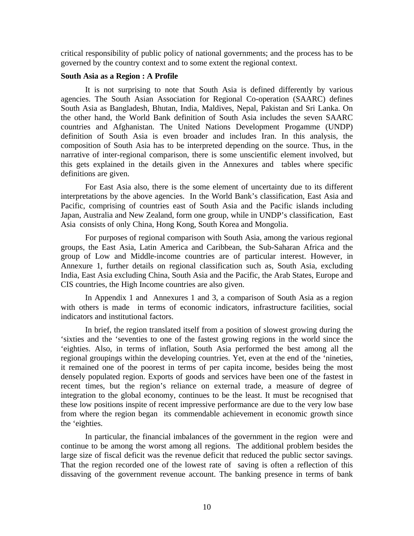critical responsibility of public policy of national governments; and the process has to be governed by the country context and to some extent the regional context.

### **South Asia as a Region : A Profile**

It is not surprising to note that South Asia is defined differently by various agencies. The South Asian Association for Regional Co-operation (SAARC) defines South Asia as Bangladesh, Bhutan, India, Maldives, Nepal, Pakistan and Sri Lanka. On the other hand, the World Bank definition of South Asia includes the seven SAARC countries and Afghanistan. The United Nations Development Progamme (UNDP) definition of South Asia is even broader and includes Iran. In this analysis, the composition of South Asia has to be interpreted depending on the source. Thus, in the narrative of inter-regional comparison, there is some unscientific element involved, but this gets explained in the details given in the Annexures and tables where specific definitions are given.

For East Asia also, there is the some element of uncertainty due to its different interpretations by the above agencies. In the World Bank's classification, East Asia and Pacific, comprising of countries east of South Asia and the Pacific islands including Japan, Australia and New Zealand, form one group, while in UNDP's classification, East Asia consists of only China, Hong Kong, South Korea and Mongolia.

For purposes of regional comparison with South Asia, among the various regional groups, the East Asia, Latin America and Caribbean, the Sub-Saharan Africa and the group of Low and Middle-income countries are of particular interest. However, in Annexure 1, further details on regional classification such as, South Asia, excluding India, East Asia excluding China, South Asia and the Pacific, the Arab States, Europe and CIS countries, the High Income countries are also given.

In Appendix 1 and Annexures 1 and 3, a comparison of South Asia as a region with others is made in terms of economic indicators, infrastructure facilities, social indicators and institutional factors.

In brief, the region translated itself from a position of slowest growing during the 'sixties and the 'seventies to one of the fastest growing regions in the world since the 'eighties. Also, in terms of inflation, South Asia performed the best among all the regional groupings within the developing countries. Yet, even at the end of the 'nineties, it remained one of the poorest in terms of per capita income, besides being the most densely populated region. Exports of goods and services have been one of the fastest in recent times, but the region's reliance on external trade, a measure of degree of integration to the global economy, continues to be the least. It must be recognised that these low positions inspite of recent impressive performance are due to the very low base from where the region began its commendable achievement in economic growth since the 'eighties.

In particular, the financial imbalances of the government in the region were and continue to be among the worst among all regions. The additional problem besides the large size of fiscal deficit was the revenue deficit that reduced the public sector savings. That the region recorded one of the lowest rate of saving is often a reflection of this dissaving of the government revenue account. The banking presence in terms of bank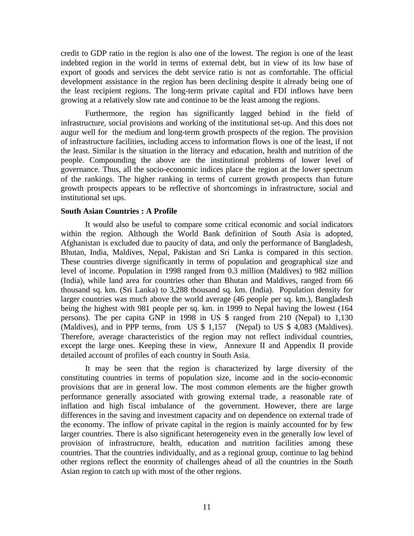credit to GDP ratio in the region is also one of the lowest. The region is one of the least indebted region in the world in terms of external debt, but in view of its low base of export of goods and services the debt service ratio is not as comfortable. The official development assistance in the region has been declining despite it already being one of the least recipient regions. The long-term private capital and FDI inflows have been growing at a relatively slow rate and continue to be the least among the regions.

Furthermore, the region has significantly lagged behind in the field of infrastructure, social provisions and working of the institutional set-up. And this does not augur well for the medium and long-term growth prospects of the region. The provision of infrastructure facilities, including access to information flows is one of the least, if not the least. Similar is the situation in the literacy and education, health and nutrition of the people. Compounding the above are the institutional problems of lower level of governance. Thus, all the socio-economic indices place the region at the lower spectrum of the rankings. The higher ranking in terms of current growth prospects than future growth prospects appears to be reflective of shortcomings in infrastructure, social and institutional set ups.

### **South Asian Countries : A Profile**

It would also be useful to compare some critical economic and social indicators within the region. Although the World Bank definition of South Asia is adopted, Afghanistan is excluded due to paucity of data, and only the performance of Bangladesh, Bhutan, India, Maldives, Nepal, Pakistan and Sri Lanka is compared in this section. These countries diverge significantly in terms of population and geographical size and level of income. Population in 1998 ranged from 0.3 million (Maldives) to 982 million (India), while land area for countries other than Bhutan and Maldives, ranged from 66 thousand sq. km. (Sri Lanka) to 3,288 thousand sq. km. (India). Population density for larger countries was much above the world average (46 people per sq. km.), Bangladesh being the highest with 981 people per sq. km. in 1999 to Nepal having the lowest (164 persons). The per capita GNP in 1998 in US \$ ranged from 210 (Nepal) to 1,130 (Maldives), and in PPP terms, from US \$ 1,157 (Nepal) to US \$ 4,083 (Maldives). Therefore, average characteristics of the region may not reflect individual countries, except the large ones. Keeping these in view, Annexure II and Appendix II provide detailed account of profiles of each country in South Asia.

It may be seen that the region is characterized by large diversity of the constituting countries in terms of population size, income and in the socio-economic provisions that are in general low. The most common elements are the higher growth performance generally associated with growing external trade, a reasonable rate of inflation and high fiscal imbalance of the government. However, there are large differences in the saving and investment capacity and on dependence on external trade of the economy. The inflow of private capital in the region is mainly accounted for by few larger countries. There is also significant heterogeneity even in the generally low level of provision of infrastructure, health, education and nutrition facilities among these countries. That the countries individually, and as a regional group, continue to lag behind other regions reflect the enormity of challenges ahead of all the countries in the South Asian region to catch up with most of the other regions.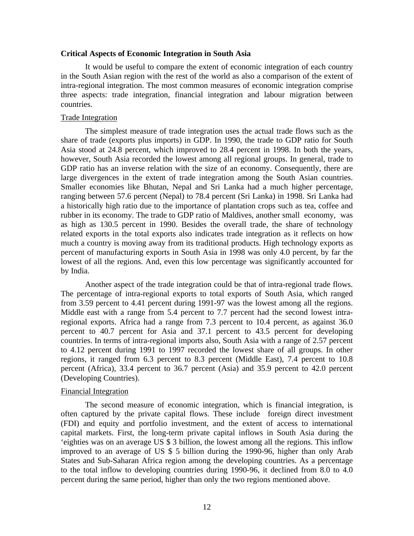### **Critical Aspects of Economic Integration in South Asia**

It would be useful to compare the extent of economic integration of each country in the South Asian region with the rest of the world as also a comparison of the extent of intra-regional integration. The most common measures of economic integration comprise three aspects: trade integration, financial integration and labour migration between countries.

### Trade Integration

The simplest measure of trade integration uses the actual trade flows such as the share of trade (exports plus imports) in GDP. In 1990, the trade to GDP ratio for South Asia stood at 24.8 percent, which improved to 28.4 percent in 1998. In both the years, however, South Asia recorded the lowest among all regional groups. In general, trade to GDP ratio has an inverse relation with the size of an economy. Consequently, there are large divergences in the extent of trade integration among the South Asian countries. Smaller economies like Bhutan, Nepal and Sri Lanka had a much higher percentage, ranging between 57.6 percent (Nepal) to 78.4 percent (Sri Lanka) in 1998. Sri Lanka had a historically high ratio due to the importance of plantation crops such as tea, coffee and rubber in its economy. The trade to GDP ratio of Maldives, another small economy, was as high as 130.5 percent in 1990. Besides the overall trade, the share of technology related exports in the total exports also indicates trade integration as it reflects on how much a country is moving away from its traditional products. High technology exports as percent of manufacturing exports in South Asia in 1998 was only 4.0 percent, by far the lowest of all the regions. And, even this low percentage was significantly accounted for by India.

Another aspect of the trade integration could be that of intra-regional trade flows. The percentage of intra-regional exports to total exports of South Asia, which ranged from 3.59 percent to 4.41 percent during 1991-97 was the lowest among all the regions. Middle east with a range from 5.4 percent to 7.7 percent had the second lowest intraregional exports. Africa had a range from 7.3 percent to 10.4 percent, as against 36.0 percent to 40.7 percent for Asia and 37.1 percent to 43.5 percent for developing countries. In terms of intra-regional imports also, South Asia with a range of 2.57 percent to 4.12 percent during 1991 to 1997 recorded the lowest share of all groups. In other regions, it ranged from 6.3 percent to 8.3 percent (Middle East), 7.4 percent to 10.8 percent (Africa), 33.4 percent to 36.7 percent (Asia) and 35.9 percent to 42.0 percent (Developing Countries).

### Financial Integration

The second measure of economic integration, which is financial integration, is often captured by the private capital flows. These include foreign direct investment (FDI) and equity and portfolio investment, and the extent of access to international capital markets. First, the long-term private capital inflows in South Asia during the 'eighties was on an average US \$ 3 billion, the lowest among all the regions. This inflow improved to an average of US \$ 5 billion during the 1990-96, higher than only Arab States and Sub-Saharan Africa region among the developing countries. As a percentage to the total inflow to developing countries during 1990-96, it declined from 8.0 to 4.0 percent during the same period, higher than only the two regions mentioned above.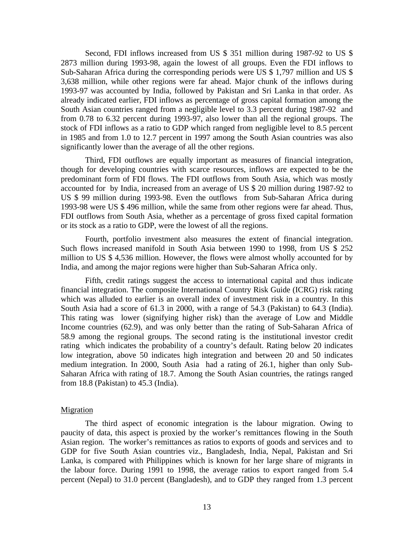Second, FDI inflows increased from US \$ 351 million during 1987-92 to US \$ 2873 million during 1993-98, again the lowest of all groups. Even the FDI inflows to Sub-Saharan Africa during the corresponding periods were US \$ 1,797 million and US \$ 3,638 million, while other regions were far ahead. Major chunk of the inflows during 1993-97 was accounted by India, followed by Pakistan and Sri Lanka in that order. As already indicated earlier, FDI inflows as percentage of gross capital formation among the South Asian countries ranged from a negligible level to 3.3 percent during 1987-92 and from 0.78 to 6.32 percent during 1993-97, also lower than all the regional groups. The stock of FDI inflows as a ratio to GDP which ranged from negligible level to 8.5 percent in 1985 and from 1.0 to 12.7 percent in 1997 among the South Asian countries was also significantly lower than the average of all the other regions.

Third, FDI outflows are equally important as measures of financial integration, though for developing countries with scarce resources, inflows are expected to be the predominant form of FDI flows. The FDI outflows from South Asia, which was mostly accounted for by India, increased from an average of US \$ 20 million during 1987-92 to US \$ 99 million during 1993-98. Even the outflows from Sub-Saharan Africa during 1993-98 were US \$ 496 million, while the same from other regions were far ahead. Thus, FDI outflows from South Asia, whether as a percentage of gross fixed capital formation or its stock as a ratio to GDP, were the lowest of all the regions.

Fourth, portfolio investment also measures the extent of financial integration. Such flows increased manifold in South Asia between 1990 to 1998, from US \$ 252 million to US \$ 4,536 million. However, the flows were almost wholly accounted for by India, and among the major regions were higher than Sub-Saharan Africa only.

Fifth, credit ratings suggest the access to international capital and thus indicate financial integration. The composite International Country Risk Guide (ICRG) risk rating which was alluded to earlier is an overall index of investment risk in a country. In this South Asia had a score of 61.3 in 2000, with a range of 54.3 (Pakistan) to 64.3 (India). This rating was lower (signifying higher risk) than the average of Low and Middle Income countries (62.9), and was only better than the rating of Sub-Saharan Africa of 58.9 among the regional groups. The second rating is the institutional investor credit rating which indicates the probability of a country's default. Rating below 20 indicates low integration, above 50 indicates high integration and between 20 and 50 indicates medium integration. In 2000, South Asia had a rating of 26.1, higher than only Sub-Saharan Africa with rating of 18.7. Among the South Asian countries, the ratings ranged from 18.8 (Pakistan) to 45.3 (India).

#### **Migration**

The third aspect of economic integration is the labour migration. Owing to paucity of data, this aspect is proxied by the worker's remittances flowing in the South Asian region. The worker's remittances as ratios to exports of goods and services and to GDP for five South Asian countries viz., Bangladesh, India, Nepal, Pakistan and Sri Lanka, is compared with Philippines which is known for her large share of migrants in the labour force. During 1991 to 1998, the average ratios to export ranged from 5.4 percent (Nepal) to 31.0 percent (Bangladesh), and to GDP they ranged from 1.3 percent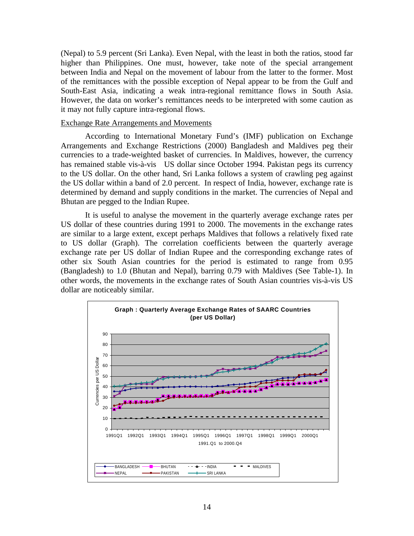(Nepal) to 5.9 percent (Sri Lanka). Even Nepal, with the least in both the ratios, stood far higher than Philippines. One must, however, take note of the special arrangement between India and Nepal on the movement of labour from the latter to the former. Most of the remittances with the possible exception of Nepal appear to be from the Gulf and South-East Asia, indicating a weak intra-regional remittance flows in South Asia. However, the data on worker's remittances needs to be interpreted with some caution as it may not fully capture intra-regional flows.

## Exchange Rate Arrangements and Movements

According to International Monetary Fund's (IMF) publication on Exchange Arrangements and Exchange Restrictions (2000) Bangladesh and Maldives peg their currencies to a trade-weighted basket of currencies. In Maldives, however, the currency has remained stable vis-à-vis US dollar since October 1994. Pakistan pegs its currency to the US dollar. On the other hand, Sri Lanka follows a system of crawling peg against the US dollar within a band of 2.0 percent.In respect of India, however, exchange rate is determined by demand and supply conditions in the market. The currencies of Nepal and Bhutan are pegged to the Indian Rupee.

It is useful to analyse the movement in the quarterly average exchange rates per US dollar of these countries during 1991 to 2000. The movements in the exchange rates are similar to a large extent, except perhaps Maldives that follows a relatively fixed rate to US dollar (Graph). The correlation coefficients between the quarterly average exchange rate per US dollar of Indian Rupee and the corresponding exchange rates of other six South Asian countries for the period is estimated to range from 0.95 (Bangladesh) to 1.0 (Bhutan and Nepal), barring 0.79 with Maldives (See Table-1). In other words, the movements in the exchange rates of South Asian countries vis-à-vis US dollar are noticeably similar.

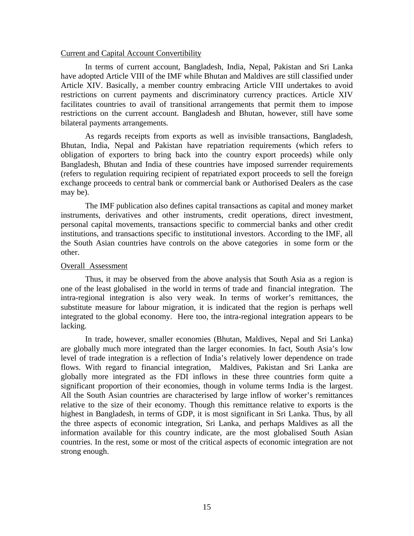#### Current and Capital Account Convertibility

In terms of current account, Bangladesh, India, Nepal, Pakistan and Sri Lanka have adopted Article VIII of the IMF while Bhutan and Maldives are still classified under Article XIV. Basically, a member country embracing Article VIII undertakes to avoid restrictions on current payments and discriminatory currency practices. Article XIV facilitates countries to avail of transitional arrangements that permit them to impose restrictions on the current account. Bangladesh and Bhutan, however, still have some bilateral payments arrangements.

As regards receipts from exports as well as invisible transactions, Bangladesh, Bhutan, India, Nepal and Pakistan have repatriation requirements (which refers to obligation of exporters to bring back into the country export proceeds) while only Bangladesh, Bhutan and India of these countries have imposed surrender requirements (refers to regulation requiring recipient of repatriated export proceeds to sell the foreign exchange proceeds to central bank or commercial bank or Authorised Dealers as the case may be).

The IMF publication also defines capital transactions as capital and money market instruments, derivatives and other instruments, credit operations, direct investment, personal capital movements, transactions specific to commercial banks and other credit institutions, and transactions specific to institutional investors. According to the IMF, all the South Asian countries have controls on the above categories in some form or the other.

### Overall Assessment

Thus, it may be observed from the above analysis that South Asia as a region is one of the least globalised in the world in terms of trade and financial integration. The intra-regional integration is also very weak. In terms of worker's remittances, the substitute measure for labour migration, it is indicated that the region is perhaps well integrated to the global economy. Here too, the intra-regional integration appears to be lacking.

In trade, however, smaller economies (Bhutan, Maldives, Nepal and Sri Lanka) are globally much more integrated than the larger economies. In fact, South Asia's low level of trade integration is a reflection of India's relatively lower dependence on trade flows. With regard to financial integration, Maldives, Pakistan and Sri Lanka are globally more integrated as the FDI inflows in these three countries form quite a significant proportion of their economies, though in volume terms India is the largest. All the South Asian countries are characterised by large inflow of worker's remittances relative to the size of their economy. Though this remittance relative to exports is the highest in Bangladesh, in terms of GDP, it is most significant in Sri Lanka. Thus, by all the three aspects of economic integration, Sri Lanka, and perhaps Maldives as all the information available for this country indicate, are the most globalised South Asian countries. In the rest, some or most of the critical aspects of economic integration are not strong enough.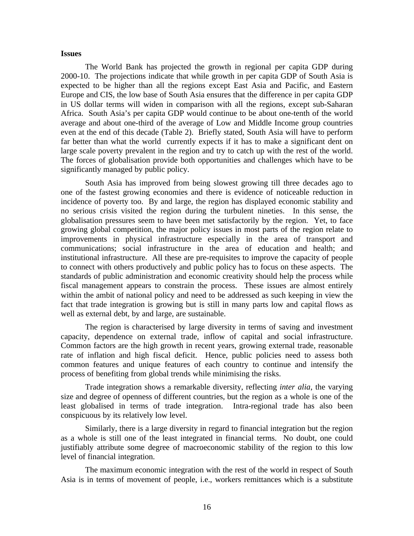#### **Issues**

The World Bank has projected the growth in regional per capita GDP during 2000-10. The projections indicate that while growth in per capita GDP of South Asia is expected to be higher than all the regions except East Asia and Pacific, and Eastern Europe and CIS, the low base of South Asia ensures that the difference in per capita GDP in US dollar terms will widen in comparison with all the regions, except sub-Saharan Africa. South Asia's per capita GDP would continue to be about one-tenth of the world average and about one-third of the average of Low and Middle Income group countries even at the end of this decade (Table 2). Briefly stated, South Asia will have to perform far better than what the world currently expects if it has to make a significant dent on large scale poverty prevalent in the region and try to catch up with the rest of the world. The forces of globalisation provide both opportunities and challenges which have to be significantly managed by public policy.

South Asia has improved from being slowest growing till three decades ago to one of the fastest growing economies and there is evidence of noticeable reduction in incidence of poverty too. By and large, the region has displayed economic stability and no serious crisis visited the region during the turbulent nineties. In this sense, the globalisation pressures seem to have been met satisfactorily by the region. Yet, to face growing global competition, the major policy issues in most parts of the region relate to improvements in physical infrastructure especially in the area of transport and communications; social infrastructure in the area of education and health; and institutional infrastructure. All these are pre-requisites to improve the capacity of people to connect with others productively and public policy has to focus on these aspects. The standards of public administration and economic creativity should help the process while fiscal management appears to constrain the process. These issues are almost entirely within the ambit of national policy and need to be addressed as such keeping in view the fact that trade integration is growing but is still in many parts low and capital flows as well as external debt, by and large, are sustainable.

The region is characterised by large diversity in terms of saving and investment capacity, dependence on external trade, inflow of capital and social infrastructure. Common factors are the high growth in recent years, growing external trade, reasonable rate of inflation and high fiscal deficit. Hence, public policies need to assess both common features and unique features of each country to continue and intensify the process of benefiting from global trends while minimising the risks.

Trade integration shows a remarkable diversity, reflecting *inter alia*, the varying size and degree of openness of different countries, but the region as a whole is one of the least globalised in terms of trade integration. Intra-regional trade has also been conspicuous by its relatively low level.

Similarly, there is a large diversity in regard to financial integration but the region as a whole is still one of the least integrated in financial terms. No doubt, one could justifiably attribute some degree of macroeconomic stability of the region to this low level of financial integration.

The maximum economic integration with the rest of the world in respect of South Asia is in terms of movement of people, i.e., workers remittances which is a substitute